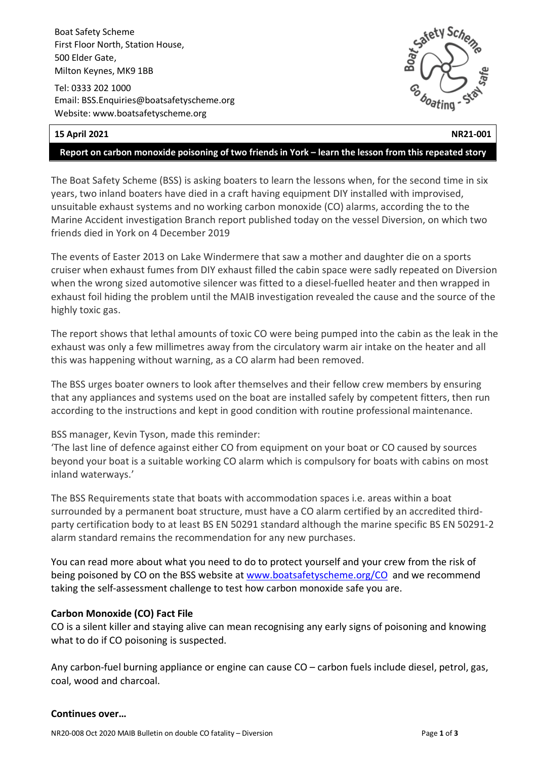Boat Safety Scheme First Floor North, Station House, 500 Elder Gate, Milton Keynes, MK9 1BB

Tel: 0333 202 1000 Email: BSS.Enquiries@boatsafetyscheme.org Website: www.boatsafetyscheme.org



# **15 April 2021 NR21-001**

#### **Report on carbon monoxide poisoning of two friends in York – learn the lesson from this repeated story**

The Boat Safety Scheme (BSS) is asking boaters to learn the lessons when, for the second time in six years, two inland boaters have died in a craft having equipment DIY installed with improvised, unsuitable exhaust systems and no working carbon monoxide (CO) alarms, according the to the Marine Accident investigation Branch report published today on the vessel Diversion, on which two friends died in York on 4 December 2019

The events of Easter 2013 on Lake Windermere that saw a mother and daughter die on a sports cruiser when exhaust fumes from DIY exhaust filled the cabin space were sadly repeated on Diversion when the wrong sized automotive silencer was fitted to a diesel-fuelled heater and then wrapped in exhaust foil hiding the problem until the MAIB investigation revealed the cause and the source of the highly toxic gas.

The report shows that lethal amounts of toxic CO were being pumped into the cabin as the leak in the exhaust was only a few millimetres away from the circulatory warm air intake on the heater and all this was happening without warning, as a CO alarm had been removed.

The BSS urges boater owners to look after themselves and their fellow crew members by ensuring that any appliances and systems used on the boat are installed safely by competent fitters, then run according to the instructions and kept in good condition with routine professional maintenance.

## BSS manager, Kevin Tyson, made this reminder:

'The last line of defence against either CO from equipment on your boat or CO caused by sources beyond your boat is a suitable working CO alarm which is compulsory for boats with cabins on most inland waterways.'

The BSS Requirements state that boats with accommodation spaces i.e. areas within a boat surrounded by a permanent boat structure, must have a CO alarm certified by an accredited thirdparty certification body to at least BS EN 50291 standard although the marine specific BS EN 50291-2 alarm standard remains the recommendation for any new purchases.

You can read more about what you need to do to protect yourself and your crew from the risk of being poisoned by CO on the BSS website at [www.boatsafetyscheme.org/CO](http://www.boatsafetyscheme.org/CO) and we recommend taking the self-assessment challenge to test how carbon monoxide safe you are.

## **Carbon Monoxide (CO) Fact File**

CO is a silent killer and staying alive can mean recognising any early signs of poisoning and knowing what to do if CO poisoning is suspected.

Any carbon-fuel burning appliance or engine can cause CO – carbon fuels include diesel, petrol, gas, coal, wood and charcoal.

## **Continues over…**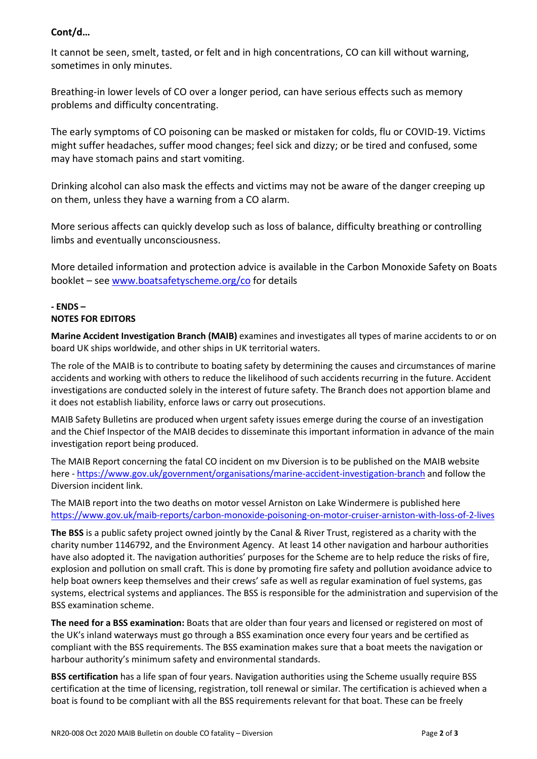# **Cont/d…**

It cannot be seen, smelt, tasted, or felt and in high concentrations, CO can kill without warning, sometimes in only minutes.

Breathing-in lower levels of CO over a longer period, can have serious effects such as memory problems and difficulty concentrating.

The early symptoms of CO poisoning can be masked or mistaken for colds, flu or COVID-19. Victims might suffer headaches, suffer mood changes; feel sick and dizzy; or be tired and confused, some may have stomach pains and start vomiting.

Drinking alcohol can also mask the effects and victims may not be aware of the danger creeping up on them, unless they have a warning from a CO alarm.

More serious affects can quickly develop such as loss of balance, difficulty breathing or controlling limbs and eventually unconsciousness.

More detailed information and protection advice is available in the Carbon Monoxide Safety on Boats booklet – see [www.boatsafetyscheme.org/co](http://www.boatsafetyscheme.org/co) for details

#### **- ENDS – NOTES FOR EDITORS**

**Marine Accident Investigation Branch (MAIB)** examines and investigates all types of marine accidents to or on board UK ships worldwide, and other ships in UK territorial waters.

The role of the MAIB is to contribute to boating safety by determining the causes and circumstances of marine accidents and working with others to reduce the likelihood of such accidents recurring in the future. Accident investigations are conducted solely in the interest of future safety. The Branch does not apportion blame and it does not establish liability, enforce laws or carry out prosecutions.

MAIB Safety Bulletins are produced when urgent safety issues emerge during the course of an investigation and the Chief Inspector of the MAIB decides to disseminate this important information in advance of the main investigation report being produced.

The MAIB Report concerning the fatal CO incident on mv Diversion is to be published on the MAIB website here - <https://www.gov.uk/government/organisations/marine-accident-investigation-branch> and follow the Diversion incident link.

The MAIB report into the two deaths on motor vessel Arniston on Lake Windermere is published here <https://www.gov.uk/maib-reports/carbon-monoxide-poisoning-on-motor-cruiser-arniston-with-loss-of-2-lives>

**The BSS** is a public safety project owned jointly by the Canal & River Trust, registered as a charity with the charity number 1146792, and the Environment Agency. At least 14 other navigation and harbour authorities have also adopted it. The navigation authorities' purposes for the Scheme are to help reduce the risks of fire, explosion and pollution on small craft. This is done by promoting fire safety and pollution avoidance advice to help boat owners keep themselves and their crews' safe as well as regular examination of fuel systems, gas systems, electrical systems and appliances. The BSS is responsible for the administration and supervision of the BSS examination scheme.

**The need for a BSS examination:** Boats that are older than four years and licensed or registered on most of the UK's inland waterways must go through a BSS examination once every four years and be certified as compliant with the BSS requirements. The BSS examination makes sure that a boat meets the navigation or harbour authority's minimum safety and environmental standards.

**BSS certification** has a life span of four years. Navigation authorities using the Scheme usually require BSS certification at the time of licensing, registration, toll renewal or similar. The certification is achieved when a boat is found to be compliant with all the BSS requirements relevant for that boat. These can be freely